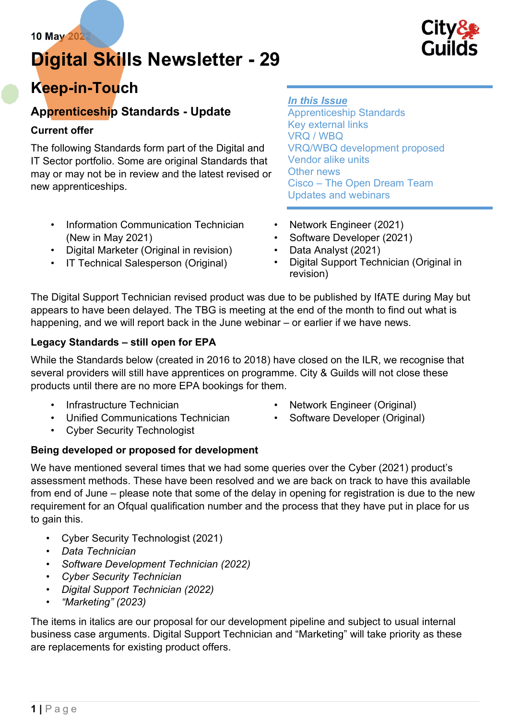# Digital Skills Newsletter - 29



## Keep-in-Touch

### Apprenticeship Standards - Update

### Current offer

The following Standards form part of the Digital and IT Sector portfolio. Some are original Standards that may or may not be in review and the latest revised or new apprenticeships.

- Information Communication Technician (New in May 2021)
- Digital Marketer (Original in revision)
- IT Technical Salesperson (Original)

### In this Issue

Apprenticeship Standards Key external links VRQ / WBQ VRQ/WBQ development proposed Vendor alike units Other news Cisco – The Open Dream Team Updates and webinars

- Network Engineer (2021)
- Software Developer (2021)
- Data Analyst (2021)
- Digital Support Technician (Original in revision)

The Digital Support Technician revised product was due to be published by IfATE during May but appears to have been delayed. The TBG is meeting at the end of the month to find out what is happening, and we will report back in the June webinar – or earlier if we have news.

### Legacy Standards – still open for EPA

While the Standards below (created in 2016 to 2018) have closed on the ILR, we recognise that several providers will still have apprentices on programme. City & Guilds will not close these products until there are no more EPA bookings for them.

- Infrastructure Technician
- Unified Communications Technician
- Network Engineer (Original)
- Software Developer (Original)

• Cyber Security Technologist

### Being developed or proposed for development

We have mentioned several times that we had some queries over the Cyber (2021) product's assessment methods. These have been resolved and we are back on track to have this available from end of June – please note that some of the delay in opening for registration is due to the new requirement for an Ofqual qualification number and the process that they have put in place for us to gain this.

- Cyber Security Technologist (2021)
- Data Technician
- Software Development Technician (2022)
- Cyber Security Technician
- Digital Support Technician (2022)
- "Marketing" (2023)

The items in italics are our proposal for our development pipeline and subject to usual internal business case arguments. Digital Support Technician and "Marketing" will take priority as these are replacements for existing product offers.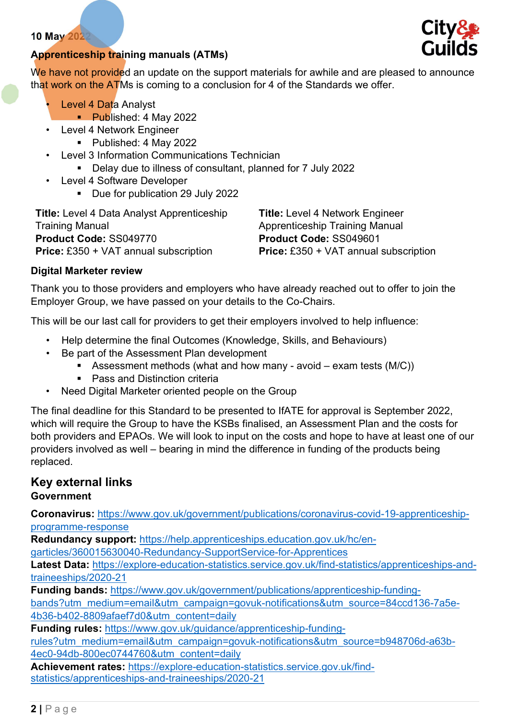### Apprenticeship training manuals (ATMs)

We have not provided an update on the support materials for awhile and are pleased to announce that work on the ATMs is coming to a conclusion for 4 of the Standards we offer.

- Level 4 Data Analyst
	- **Published: 4 May 2022**
- Level 4 Network Engineer
	- Published: 4 May 2022
- Level 3 Information Communications Technician
	- Delay due to illness of consultant, planned for 7 July 2022
- Level 4 Software Developer
	- Due for publication 29 July 2022

| <b>Title:</b> Level 4 Data Analyst Apprenticeship | <b>Title: Level 4 Network Engineer</b>       |
|---------------------------------------------------|----------------------------------------------|
| <b>Training Manual</b>                            | Apprenticeship Training Manual               |
| Product Code: SS049770                            | Product Code: SS049601                       |
| <b>Price:</b> £350 + VAT annual subscription      | <b>Price:</b> £350 + VAT annual subscription |

### Digital Marketer review

Thank you to those providers and employers who have already reached out to offer to join the Employer Group, we have passed on your details to the Co-Chairs.

This will be our last call for providers to get their employers involved to help influence:

- Help determine the final Outcomes (Knowledge, Skills, and Behaviours)
- Be part of the Assessment Plan development
	- Assessment methods (what and how many avoid exam tests  $(M/C)$ )
	- **Pass and Distinction criteria**
- Need Digital Marketer oriented people on the Group

The final deadline for this Standard to be presented to IfATE for approval is September 2022, which will require the Group to have the KSBs finalised, an Assessment Plan and the costs for both providers and EPAOs. We will look to input on the costs and hope to have at least one of our providers involved as well – bearing in mind the difference in funding of the products being replaced.

### Key external links

### Government

Coronavirus: https://www.gov.uk/government/publications/coronavirus-covid-19-apprenticeshipprogramme-response

Redundancy support: https://help.apprenticeships.education.gov.uk/hc/en-

garticles/360015630040-Redundancy-SupportService-for-Apprentices

Latest Data: https://explore-education-statistics.service.gov.uk/find-statistics/apprenticeships-andtraineeships/2020-21

Funding bands: https://www.gov.uk/government/publications/apprenticeship-funding-

bands?utm\_medium=email&utm\_campaign=govuk-notifications&utm\_source=84ccd136-7a5e-4b36-b402-8809afaef7d0&utm\_content=daily

Funding rules: https://www.gov.uk/guidance/apprenticeship-funding-

rules?utm\_medium=email&utm\_campaign=govuk-notifications&utm\_source=b948706d-a63b-4ec0-94db-800ec0744760&utm\_content=daily

Achievement rates: https://explore-education-statistics.service.gov.uk/findstatistics/apprenticeships-and-traineeships/2020-21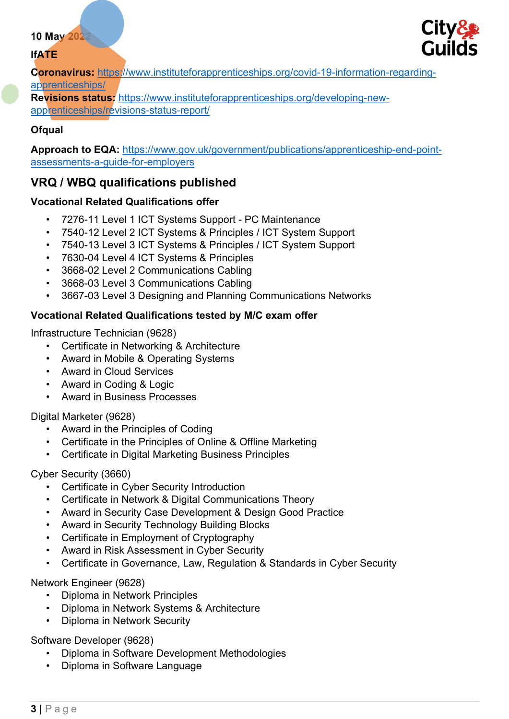### IfATE



Coronavirus: https://www.instituteforapprenticeships.org/covid-19-information-regardingapprenticeships/

Revisions status: https://www.instituteforapprenticeships.org/developing-newapprenticeships/revisions-status-report/

### **Ofqual**

Approach to EQA: https://www.gov.uk/government/publications/apprenticeship-end-pointassessments-a-guide-for-employers

### VRQ / WBQ qualifications published

### Vocational Related Qualifications offer

- 7276-11 Level 1 ICT Systems Support PC Maintenance
- 7540-12 Level 2 ICT Systems & Principles / ICT System Support
- 7540-13 Level 3 ICT Systems & Principles / ICT System Support
- 7630-04 Level 4 ICT Systems & Principles
- 3668-02 Level 2 Communications Cabling
- 3668-03 Level 3 Communications Cabling
- 3667-03 Level 3 Designing and Planning Communications Networks

### Vocational Related Qualifications tested by M/C exam offer

Infrastructure Technician (9628)

- Certificate in Networking & Architecture
- Award in Mobile & Operating Systems
- Award in Cloud Services
- Award in Coding & Logic
- Award in Business Processes

Digital Marketer (9628)

- Award in the Principles of Coding
- Certificate in the Principles of Online & Offline Marketing
- Certificate in Digital Marketing Business Principles

### Cyber Security (3660)

- Certificate in Cyber Security Introduction
- Certificate in Network & Digital Communications Theory
- Award in Security Case Development & Design Good Practice
- Award in Security Technology Building Blocks
- Certificate in Employment of Cryptography
- Award in Risk Assessment in Cyber Security
- Certificate in Governance, Law, Regulation & Standards in Cyber Security

### Network Engineer (9628)

- Diploma in Network Principles
- Diploma in Network Systems & Architecture
- Diploma in Network Security

### Software Developer (9628)

- Diploma in Software Development Methodologies
- Diploma in Software Language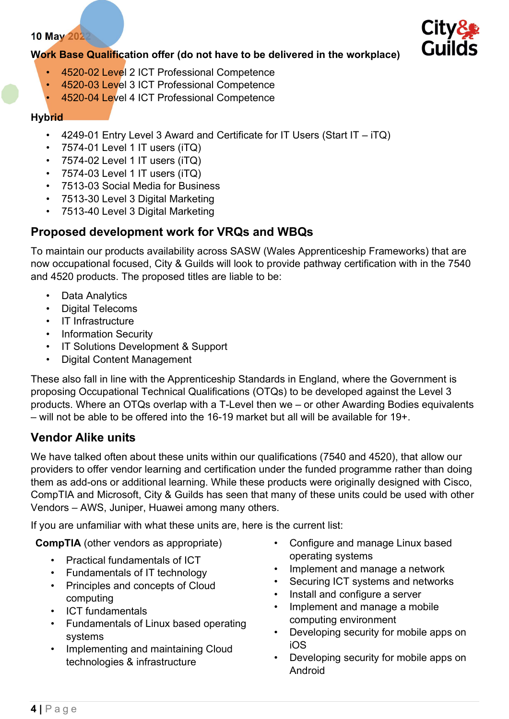

### Work Base Qualification offer (do not have to be delivered in the workplace)

- 4520-02 Level 2 ICT Professional Competence
- 4520-03 Level 3 ICT Professional Competence
- 4520-04 Level 4 ICT Professional Competence

#### **Hybrid**

- 4249-01 Entry Level 3 Award and Certificate for IT Users (Start IT iTQ)
- 7574-01 Level 1 IT users (iTQ)
- $\cdot$  7574-02 Level 1 IT users (iTQ)
- $\cdot$  7574-03 Level 1 IT users (iTQ)
- 7513-03 Social Media for Business
- 7513-30 Level 3 Digital Marketing
- 7513-40 Level 3 Digital Marketing

### Proposed development work for VRQs and WBQs

To maintain our products availability across SASW (Wales Apprenticeship Frameworks) that are now occupational focused, City & Guilds will look to provide pathway certification with in the 7540 and 4520 products. The proposed titles are liable to be:

- Data Analytics
- Digital Telecoms
- IT Infrastructure
- Information Security
- IT Solutions Development & Support
- Digital Content Management

These also fall in line with the Apprenticeship Standards in England, where the Government is proposing Occupational Technical Qualifications (OTQs) to be developed against the Level 3 products. Where an OTQs overlap with a T-Level then we – or other Awarding Bodies equivalents  $-$  will not be able to be offered into the 16-19 market but all will be available for 19+

### Vendor Alike units

We have talked often about these units within our qualifications (7540 and 4520), that allow our providers to offer vendor learning and certification under the funded programme rather than doing them as add-ons or additional learning. While these products were originally designed with Cisco, CompTIA and Microsoft, City & Guilds has seen that many of these units could be used with other Vendors – AWS, Juniper, Huawei among many others.

If you are unfamiliar with what these units are, here is the current list:

CompTIA (other vendors as appropriate)

- Practical fundamentals of ICT
- Fundamentals of IT technology
- Principles and concepts of Cloud computing
- ICT fundamentals
- Fundamentals of Linux based operating systems
- Implementing and maintaining Cloud technologies & infrastructure
- Configure and manage Linux based operating systems
- Implement and manage a network
- Securing ICT systems and networks
- Install and configure a server
- Implement and manage a mobile computing environment
- Developing security for mobile apps on iOS
- Developing security for mobile apps on Android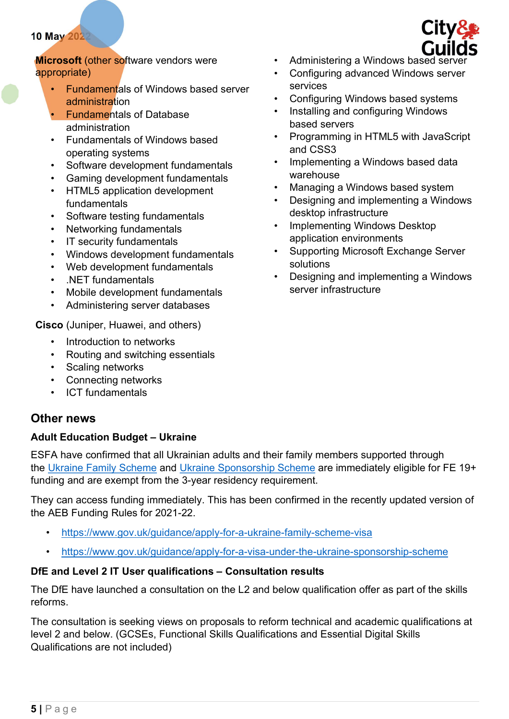**Microsoft (other software vendors were** appropriate)

- Fundamentals of Windows based server administration
- Fundamentals of Database administration
- Fundamentals of Windows based operating systems
- Software development fundamentals
- Gaming development fundamentals
- HTML5 application development fundamentals
- Software testing fundamentals
- Networking fundamentals
- IT security fundamentals
- Windows development fundamentals
- Web development fundamentals
- .NET fundamentals
- Mobile development fundamentals
- Administering server databases

Cisco (Juniper, Huawei, and others)

- Introduction to networks
- Routing and switching essentials
- Scaling networks
- Connecting networks
- ICT fundamentals

### Other news

### Adult Education Budget – Ukraine

ESFA have confirmed that all Ukrainian adults and their family members supported through the Ukraine Family Scheme and Ukraine Sponsorship Scheme are immediately eligible for FE 19+ funding and are exempt from the 3-year residency requirement.

They can access funding immediately. This has been confirmed in the recently updated version of the AEB Funding Rules for 2021-22.

- https://www.gov.uk/guidance/apply-for-a-ukraine-family-scheme-visa
- https://www.gov.uk/guidance/apply-for-a-visa-under-the-ukraine-sponsorship-scheme

### DfE and Level 2 IT User qualifications – Consultation results

The DfE have launched a consultation on the L2 and below qualification offer as part of the skills reforms.

The consultation is seeking views on proposals to reform technical and academic qualifications at level 2 and below. (GCSEs, Functional Skills Qualifications and Essential Digital Skills Qualifications are not included)



- Administering a Windows based server
- Configuring advanced Windows server services
- Configuring Windows based systems
- Installing and configuring Windows based servers
- Programming in HTML5 with JavaScript and CSS3
- Implementing a Windows based data warehouse
- Managing a Windows based system
- Designing and implementing a Windows desktop infrastructure
- Implementing Windows Desktop application environments
- Supporting Microsoft Exchange Server solutions
- Designing and implementing a Windows server infrastructure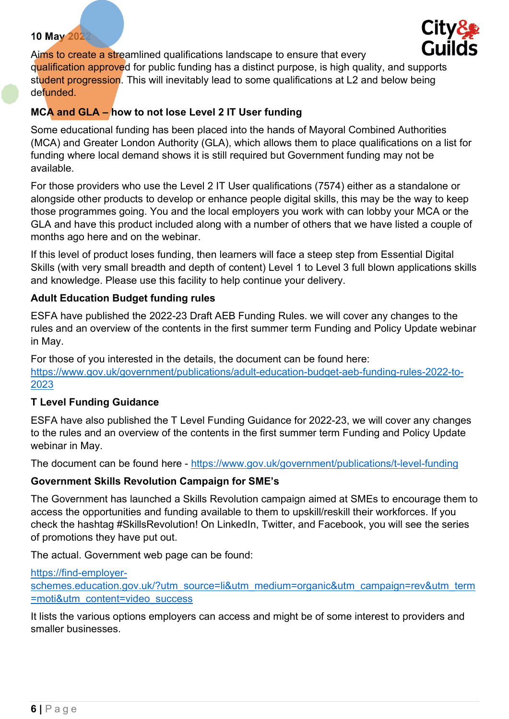

Aims to create a streamlined qualifications landscape to ensure that every qualification approved for public funding has a distinct purpose, is high quality, and supports student progression. This will inevitably lead to some qualifications at L2 and below being defunded.

### MCA and GLA – how to not lose Level 2 IT User funding

Some educational funding has been placed into the hands of Mayoral Combined Authorities (MCA) and Greater London Authority (GLA), which allows them to place qualifications on a list for funding where local demand shows it is still required but Government funding may not be available.

For those providers who use the Level 2 IT User qualifications (7574) either as a standalone or alongside other products to develop or enhance people digital skills, this may be the way to keep those programmes going. You and the local employers you work with can lobby your MCA or the GLA and have this product included along with a number of others that we have listed a couple of months ago here and on the webinar.

If this level of product loses funding, then learners will face a steep step from Essential Digital Skills (with very small breadth and depth of content) Level 1 to Level 3 full blown applications skills and knowledge. Please use this facility to help continue your delivery.

### Adult Education Budget funding rules

ESFA have published the 2022-23 Draft AEB Funding Rules. we will cover any changes to the rules and an overview of the contents in the first summer term Funding and Policy Update webinar in May.

For those of you interested in the details, the document can be found here: https://www.gov.uk/government/publications/adult-education-budget-aeb-funding-rules-2022-to-2023

### T Level Funding Guidance

ESFA have also published the T Level Funding Guidance for 2022-23, we will cover any changes to the rules and an overview of the contents in the first summer term Funding and Policy Update webinar in May.

The document can be found here - https://www.gov.uk/government/publications/t-level-funding

#### Government Skills Revolution Campaign for SME's

The Government has launched a Skills Revolution campaign aimed at SMEs to encourage them to access the opportunities and funding available to them to upskill/reskill their workforces. If you check the hashtag #SkillsRevolution! On LinkedIn, Twitter, and Facebook, you will see the series of promotions they have put out.

The actual. Government web page can be found:

https://find-employerschemes.education.gov.uk/?utm\_source=li&utm\_medium=organic&utm\_campaign=rev&utm\_term =moti&utm\_content=video\_success

It lists the various options employers can access and might be of some interest to providers and smaller businesses.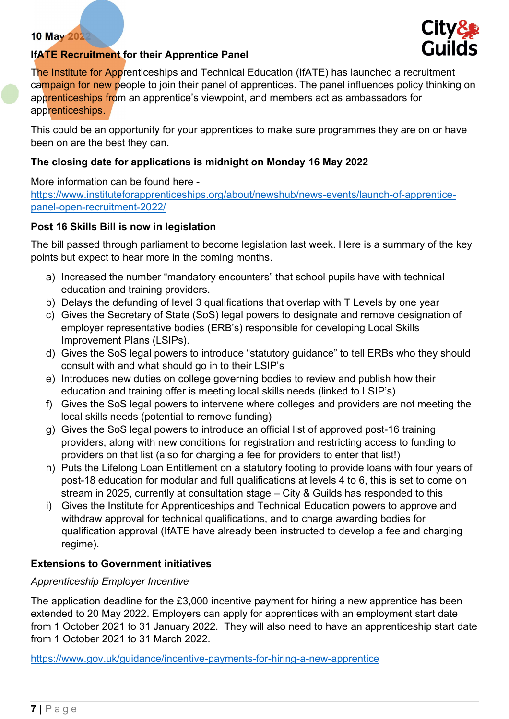

### IfATE Recruitment for their Apprentice Panel

The Institute for Apprenticeships and Technical Education (IfATE) has launched a recruitment campaign for new people to join their panel of apprentices. The panel influences policy thinking on apprenticeships from an apprentice's viewpoint, and members act as ambassadors for apprenticeships.

This could be an opportunity for your apprentices to make sure programmes they are on or have been on are the best they can.

#### The closing date for applications is midnight on Monday 16 May 2022

More information can be found here https://www.instituteforapprenticeships.org/about/newshub/news-events/launch-of-apprenticepanel-open-recruitment-2022/

#### Post 16 Skills Bill is now in legislation

The bill passed through parliament to become legislation last week. Here is a summary of the key points but expect to hear more in the coming months.

- a) Increased the number "mandatory encounters" that school pupils have with technical education and training providers.
- b) Delays the defunding of level 3 qualifications that overlap with T Levels by one year
- c) Gives the Secretary of State (SoS) legal powers to designate and remove designation of employer representative bodies (ERB's) responsible for developing Local Skills Improvement Plans (LSIPs).
- d) Gives the SoS legal powers to introduce "statutory guidance" to tell ERBs who they should consult with and what should go in to their LSIP's
- e) Introduces new duties on college governing bodies to review and publish how their education and training offer is meeting local skills needs (linked to LSIP's)
- f) Gives the SoS legal powers to intervene where colleges and providers are not meeting the local skills needs (potential to remove funding)
- g) Gives the SoS legal powers to introduce an official list of approved post-16 training providers, along with new conditions for registration and restricting access to funding to providers on that list (also for charging a fee for providers to enter that list!)
- h) Puts the Lifelong Loan Entitlement on a statutory footing to provide loans with four years of post-18 education for modular and full qualifications at levels 4 to 6, this is set to come on stream in 2025, currently at consultation stage – City & Guilds has responded to this
- i) Gives the Institute for Apprenticeships and Technical Education powers to approve and withdraw approval for technical qualifications, and to charge awarding bodies for qualification approval (IfATE have already been instructed to develop a fee and charging regime).

#### Extensions to Government initiatives

#### Apprenticeship Employer Incentive

The application deadline for the £3,000 incentive payment for hiring a new apprentice has been extended to 20 May 2022. Employers can apply for apprentices with an employment start date from 1 October 2021 to 31 January 2022. They will also need to have an apprenticeship start date from 1 October 2021 to 31 March 2022.

https://www.gov.uk/guidance/incentive-payments-for-hiring-a-new-apprentice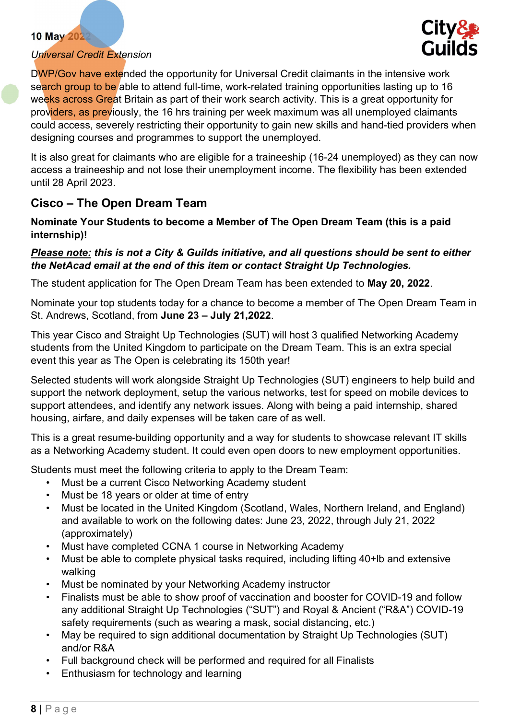### Universal Credit Extension



DWP/Gov have extended the opportunity for Universal Credit claimants in the intensive work search group to be able to attend full-time, work-related training opportunities lasting up to 16 weeks across Great Britain as part of their work search activity. This is a great opportunity for providers, as previously, the 16 hrs training per week maximum was all unemployed claimants could access, severely restricting their opportunity to gain new skills and hand-tied providers when designing courses and programmes to support the unemployed.

It is also great for claimants who are eligible for a traineeship (16-24 unemployed) as they can now access a traineeship and not lose their unemployment income. The flexibility has been extended until 28 April 2023.

### Cisco – The Open Dream Team

#### Nominate Your Students to become a Member of The Open Dream Team (this is a paid internship)!

### Please note: this is not a City & Guilds initiative, and all questions should be sent to either the NetAcad email at the end of this item or contact Straight Up Technologies.

The student application for The Open Dream Team has been extended to May 20, 2022.

Nominate your top students today for a chance to become a member of The Open Dream Team in St. Andrews, Scotland, from June 23 – July 21,2022.

This year Cisco and Straight Up Technologies (SUT) will host 3 qualified Networking Academy students from the United Kingdom to participate on the Dream Team. This is an extra special event this year as The Open is celebrating its 150th year!

Selected students will work alongside Straight Up Technologies (SUT) engineers to help build and support the network deployment, setup the various networks, test for speed on mobile devices to support attendees, and identify any network issues. Along with being a paid internship, shared housing, airfare, and daily expenses will be taken care of as well.

This is a great resume-building opportunity and a way for students to showcase relevant IT skills as a Networking Academy student. It could even open doors to new employment opportunities.

Students must meet the following criteria to apply to the Dream Team:

- Must be a current Cisco Networking Academy student
- Must be 18 years or older at time of entry
- Must be located in the United Kingdom (Scotland, Wales, Northern Ireland, and England) and available to work on the following dates: June 23, 2022, through July 21, 2022 (approximately)
- Must have completed CCNA 1 course in Networking Academy
- Must be able to complete physical tasks required, including lifting 40+lb and extensive walking
- Must be nominated by your Networking Academy instructor
- Finalists must be able to show proof of vaccination and booster for COVID-19 and follow any additional Straight Up Technologies ("SUT") and Royal & Ancient ("R&A") COVID-19 safety requirements (such as wearing a mask, social distancing, etc.)
- May be required to sign additional documentation by Straight Up Technologies (SUT) and/or R&A
- Full background check will be performed and required for all Finalists
- Enthusiasm for technology and learning